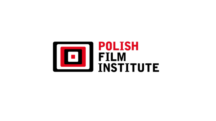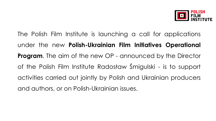

The Polish Film Institute is launching a call for applications under the new **Polish-Ukrainian Film Initiatives Operational Program.** The aim of the new OP - announced by the Director of the Polish Film Institute Radosław Śmigulski - is to support activities carried out jointly by Polish and Ukrainian producers and authors, or on Polish-Ukrainian issues.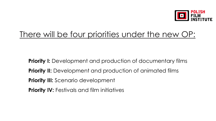

# There will be four priorities under the new OP:

**Priority I:** Development and production of documentary films **Priority II:** Development and production of animated films **Priority III:** Scenario development **Priority IV: Festivals and film initiatives**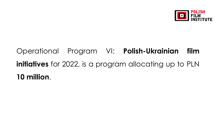

# Operational Program VI: **Polish-Ukrainian film initiatives** for 2022, is a program allocating up to PLN **10 million**.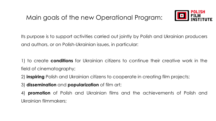

Its purpose is to support activities carried out jointly by Polish and Ukrainian producers and authors, or on Polish-Ukrainian issues, in particular:

1) to create **conditions** for Ukrainian citizens to continue their creative work in the field of cinematography;

2) **inspiring** Polish and Ukrainian citizens to cooperate in creating film projects;

3) **dissemination** and **popularization** of film art;

4) **promotion** of Polish and Ukrainian films and the achievements of Polish and Ukrainian filmmakers;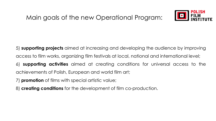

5) **supporting projects** aimed at increasing and developing the audience by improving access to film works, organizing film festivals at local, national and international level;

6) **supporting activities** aimed at creating conditions for universal access to the achievements of Polish, European and world film art;

- 7) **promotion** of films with special artistic value;
- 8) **creating conditions** for the development of film co-production.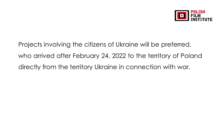

Projects involving the citizens of Ukraine will be preferred, who arrived after February 24, 2022 to the territory of Poland directly from the territory Ukraine in connection with war.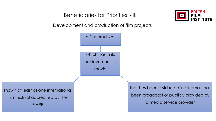Beneficiaries for Priorities I-III:



Development and production of film projects

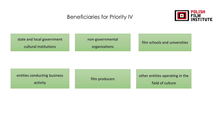## Beneficiaries for Priority IV



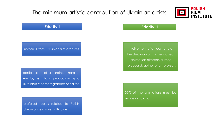# The minimum artistic contribution of Ukrainian artists



### **Priority I Priority II**

material from Ukrainian film archives

participation of a Ukrainian hero or employment to a production by a Ukrainian cinematographer or editor

prefered topics related to Polish-Ukrainian relations or Ukraine

involvement of at least one of the Ukrainian artists mentioned: animation director, author storyboard, author of art projects

30% of the animations must be made in Poland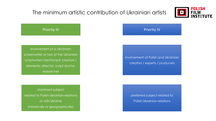# The minimum artistic contribution of Ukrainian artists



### Priority III

involvement of a Ukrainian screenwriter or two of the Ukrainian scriptwriters mentioned: creators / elements: director, script doctor, researcher

dominant subject related to Polish-Ukrainian relations or with Ukraine (historically or geographically)

#### Priority IV

involvement of Polish and Ukrainian creators / experts / producers

> preferred subject related to Polish-Ukrainian relations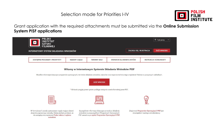Selection mode for Priorities I-IV



Grant application with the required attachments must be submitted via the **Online Submission System PISF applications**



#### Witamy w Internetowym Systemie Składania Wniosków PISF

Wszelkie informacje dotyczące programów operacyjnych, terminów składania wniosków, naborów oraz wsparcia technicznego znajdziecie Państwo w powyższych zakładkach.

**ZŁÓŻ WNIOSEK** 

\* Wniosek przyjęty przez system podlega następnie ocenie formalnej przez PISF.



W formularzach zostały zastosowane reguły mające ułatwić złożenie poprawnego wniosku. Należy jednak pamiętać, że nie zastąpią one znajomości Trybu naboru i wyboru wniosków.

Szczegółowe informacje dotyczące procedury składania wniosków w poszczególnych Programach Operacyjnych PISF zawarte są w opisie Programów Operacyjnych PISF. Znajomość Programów Operacyjnych PISF jest obowiązkiem każdego wnioskodawcy.

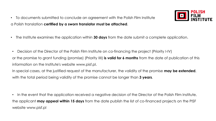• To documents submitted to conclude an agreement with the Polish Film Institute a Polish translation **certified by a sworn translator must be attached**.



• Decision of the Director of the Polish Film Institute on co-financing the project (Priority I-IV) or the promise to grant funding (promise) (Priority IIII) **is valid for 6 months** from the date of publication of this information on the Institute's website www.pisf.pl. In special cases, at the justified request of the manufacturer, the validity of the promise **may be extended**,

with the total period being validity of the promise cannot be longer than **3 years**.

• In the event that the application received a negative decision of the Director of the Polish Film Institute, the applicant **may appeal within 15 days** from the date publish the list of co-financed projects on the PISF website www.pisf.pl

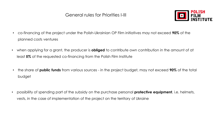

- co-financing of the project under the Polish-Ukrainian OP Film initiatives may not exceed **90%** of the planned costs ventures
- when applying for a grant, the producer is **obliged** to contribute own contribution in the amount of at least **5%** of the requested co-financing from the Polish Film Institute
- the share of **public funds** from various sources in the project budget, may not exceed **90%** of the total budget
- possibility of spending part of the subsidy on the purchase personal **protective equipment**, i.e. helmets, vests, in the case of implementation of the project on the territory of Ukraine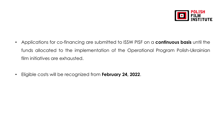

- Applications for co-financing are submitted to ISSW PISF on a **continuous basis** until the funds allocated to the implementation of the Operational Program Polish-Ukrainian film initiatives are exhausted.
- Eligible costs will be recognized from **February 24, 2022**.